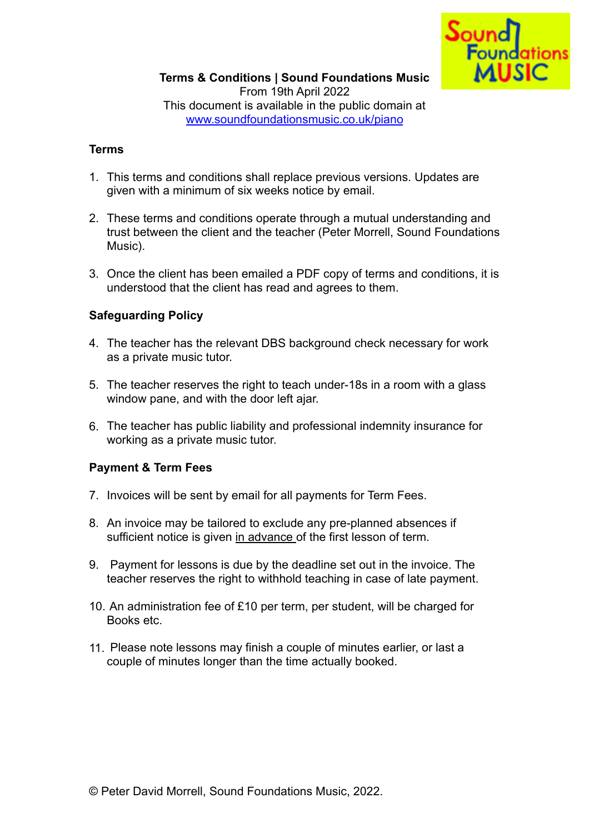

### **Terms**

- 1. This terms and conditions shall replace previous versions. Updates are given with a minimum of six weeks notice by email.
- 2. These terms and conditions operate through a mutual understanding and trust between the client and the teacher (Peter Morrell, Sound Foundations Music).
- 3. Once the client has been emailed a PDF copy of terms and conditions, it is understood that the client has read and agrees to them.

## **Safeguarding Policy**

- 4. The teacher has the relevant DBS background check necessary for work as a private music tutor.
- 5. The teacher reserves the right to teach under-18s in a room with a glass window pane, and with the door left ajar.
- 6. The teacher has public liability and professional indemnity insurance for working as a private music tutor.

## **Payment & Term Fees**

- 7. Invoices will be sent by email for all payments for Term Fees.
- 8. An invoice may be tailored to exclude any pre-planned absences if sufficient notice is given in advance of the first lesson of term.
- 9. Payment for lessons is due by the deadline set out in the invoice. The teacher reserves the right to withhold teaching in case of late payment.
- 10. An administration fee of £10 per term, per student, will be charged for Books etc.
- 11. Please note lessons may finish a couple of minutes earlier, or last a couple of minutes longer than the time actually booked.